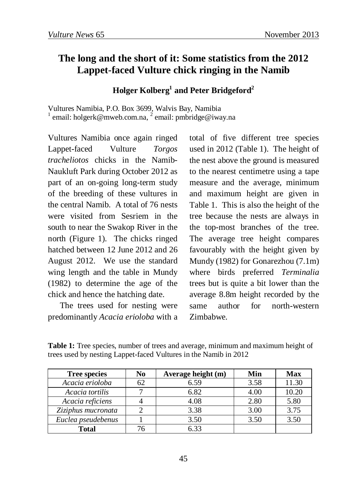## **The long and the short of it: Some statistics from the 2012 Lappet-faced Vulture chick ringing in the Namib**

## **Holger Kolberg1 and Peter Bridgeford2**

Vultures Namibia, P.O. Box 3699, Walvis Bay, Namibia <sup>1</sup> email: holgerk@mweb.com.na, <sup>2</sup> email: pmbridge@iway.na

Vultures Namibia once again ringed Lappet-faced Vulture *Torgos tracheliotos* chicks in the Namib-Naukluft Park during October 2012 as part of an on-going long-term study of the breeding of these vultures in the central Namib. A total of 76 nests were visited from Sesriem in the south to near the Swakop River in the north (Figure 1). The chicks ringed hatched between 12 June 2012 and 26 August 2012. We use the standard wing length and the table in Mundy (1982) to determine the age of the chick and hence the hatching date.

The trees used for nesting were predominantly *Acacia erioloba* with a

total of five different tree species used in 2012 (Table 1). The height of the nest above the ground is measured to the nearest centimetre using a tape measure and the average, minimum and maximum height are given in Table 1. This is also the height of the tree because the nests are always in the top-most branches of the tree. The average tree height compares favourably with the height given by Mundy (1982) for Gonarezhou (7.1m) where birds preferred *Terminalia* trees but is quite a bit lower than the average 8.8m height recorded by the same author for north-western Zimbabwe.

**Table 1:** Tree species, number of trees and average, minimum and maximum height of trees used by nesting Lappet-faced Vultures in the Namib in 2012

| <b>Tree species</b> | N <sub>0</sub> | Average height (m) | Min  | Max   |
|---------------------|----------------|--------------------|------|-------|
| Acacia erioloba     | 62             | 6.59               | 3.58 | 11.30 |
| Acacia tortilis     |                | 6.82               | 4.00 | 10.20 |
| Acacia reficiens    |                | 4.08               | 2.80 | 5.80  |
| Ziziphus mucronata  |                | 3.38               | 3.00 | 3.75  |
| Euclea pseudebenus  |                | 3.50               | 3.50 | 3.50  |
| <b>Total</b>        | 76             | 6 33               |      |       |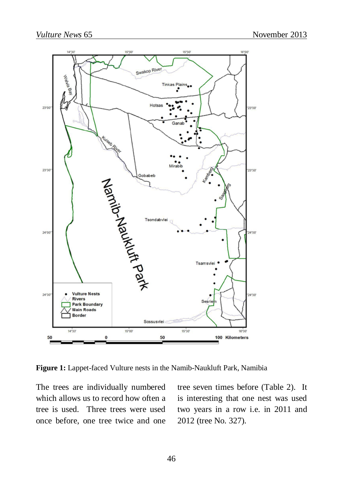

**Figure 1:** Lappet-faced Vulture nests in the Namib-Naukluft Park, Namibia

The trees are individually numbered which allows us to record how often a tree is used. Three trees were used once before, one tree twice and one tree seven times before (Table 2). It is interesting that one nest was used two years in a row i.e. in 2011 and 2012 (tree No. 327).